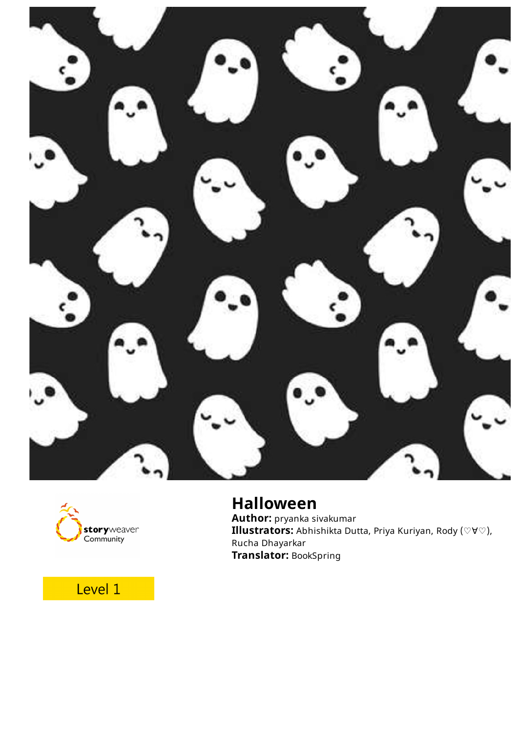



## **Halloween**

**Author:** pryanka sivakumar **Illustrators:** Abhishikta Dutta, Priya Kuriyan, Rody (♡∀♡), Rucha Dhayarkar **Translator:** BookSpring

## Level 1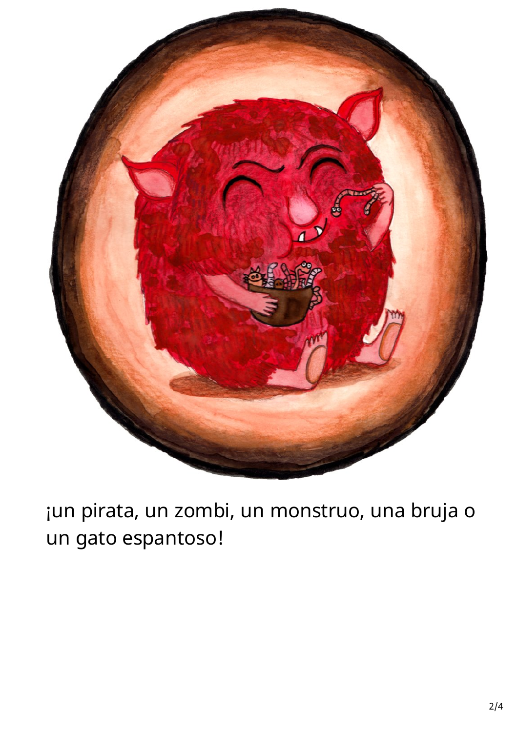

¡un pirata, un zombi, un monstruo, una bruja o un gato espantoso!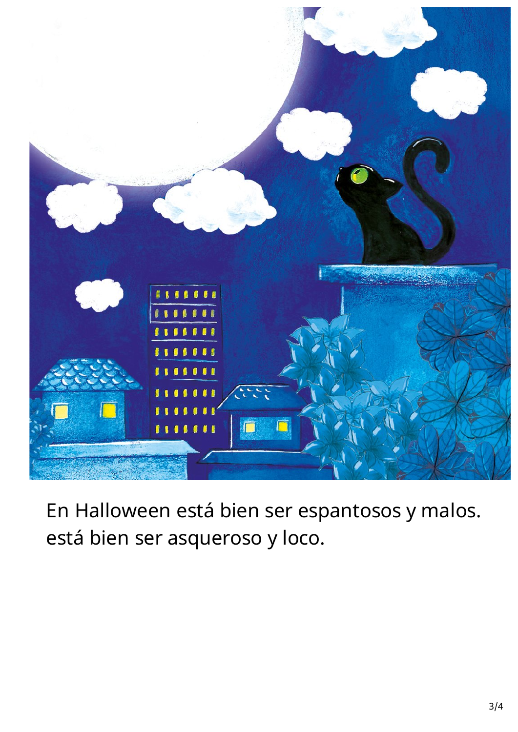

En Halloween está bien ser espantosos y malos. está bien ser asqueroso y loco.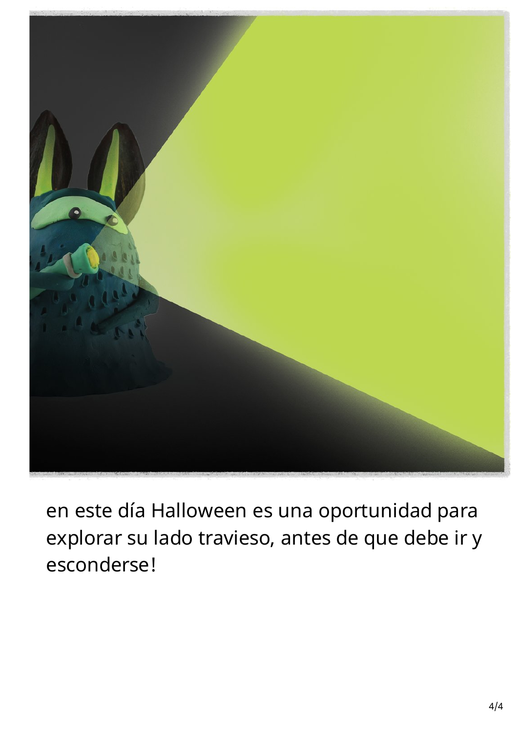

en este día Halloween es una oportunidad para explorar su lado travieso, antes de que debe ir y esconderse!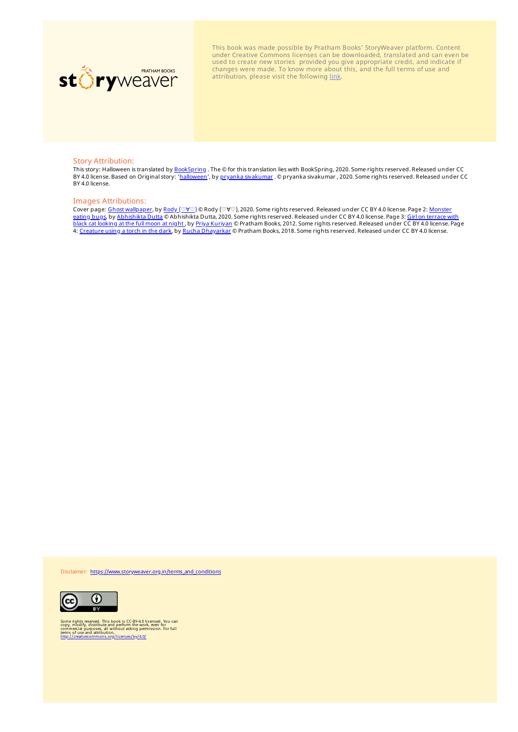

This book was made possible by Pratham Books' StoryWeaver platform. Content under Creative Commons licenses can be downloaded, translated and can even be used to create new stories provided you give appropriate credit, and indicate if changes were made. To know more about this, and the full terms of use and attribution, please visit the following [link.](https://storyweaver.org.in/terms_and_conditions)

## Story Attribution:

This story: Halloween is translated by <u>[BookSpring](https://storyweaver.org.in/users/171517-bookspring)</u> . The © for this translation lies with BookSpring, 2020. Some rights reserved. Released under CC<br>BY 4.0 license. Based on Original story: '<u>[halloween](https://storyweaver.org.in/stories/160532-halloween)</u>', by <u>pryanka sivak</u> BY 4.0 license.

## Images Attributions:

Cover page: <u>Ghost [wallpaper](https://storyweaver.org.in/illustrations/34736-ghost-wallpaper)</u>, by <u>Rody ([♡∀♡](https://storyweaver.org.in/users/185789-rody))</u> © Rody (♡∀♡), 2020. Some rights reserved. Released under CC BY 4.0 license. Page 2: <u>Monster</u> eating <u>bugs</u>, by <u>[Abhishikta](https://storyweaver.org.in/illustrations/22882-monster-eating-bugs) Dutta</u> © Abhishikta Dutta, 2020. Some rights reserved. Released under CC BY 4.0 license. Page 3: <u>Girl on terrace with</u> black cat looking at the full moon at night, by Priya [Kuriyan](https://storyweaver.org.in/users/57-priya-kuriyan) © Pratham Books, 2012. Some rights reserved. Released under CC BY 4.0 license. Page 4: [Creature](https://storyweaver.org.in/illustrations/20856-creature-using-a-torch-in-the-dark) using a torch in the dark, by Rucha [Dhayarkar](https://storyweaver.org.in/users/314-rucha-dhayarkar) © Pratham Books, 2018. Some rights reserved. Released under CC BY 4.0 license.

Disclaimer: [https://www.storyweaver.org.in/terms\\_and\\_conditions](https://storyweaver.org.in/terms_and_conditions)



Some rights reserved. This book is CC-BY-4.0 licensed. You can<br>copy, modify, distribute and perform the work, even for<br>commercial purposes, all without asking permission. For full<br>terms of use and attribution,<br>http://creat